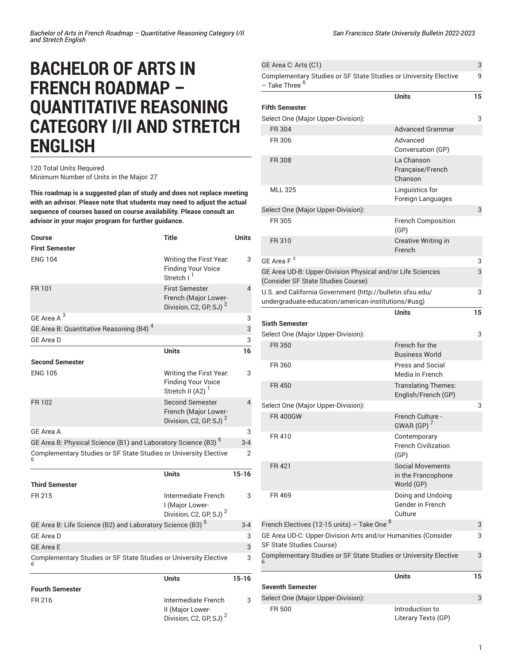## **BACHELOR OF ARTS IN FRENCH ROADMAP – QUANTITATIVE REASONING CATEGORY I/II AND STRETCH ENGLISH**

## 120 Total Units Required Minimum Number of Units in the Major: 27

**This roadmap is a suggested plan of study and does not replace meeting with an advisor. Please note that students may need to adjust the actual sequence of courses based on course availability. Please consult an advisor in your major program for further guidance.**

| Course                                                                    | <b>Title</b>                                                                         | <b>Units</b> |
|---------------------------------------------------------------------------|--------------------------------------------------------------------------------------|--------------|
| <b>First Semester</b>                                                     |                                                                                      |              |
| <b>ENG 104</b>                                                            | Writing the First Year.<br><b>Finding Your Voice</b><br>Stretch I <sup>1</sup>       | 3            |
| FR 101                                                                    | <b>First Semester</b><br>French (Major Lower-<br>Division, C2, GP, SJ) <sup>2</sup>  | 4            |
| GE Area A <sup>3</sup>                                                    |                                                                                      | 3            |
| GE Area B: Quantitative Reasoning (B4) <sup>4</sup>                       |                                                                                      | 3            |
| GE Area D                                                                 |                                                                                      | 3            |
|                                                                           | <b>Units</b>                                                                         | 16           |
| <b>Second Semester</b>                                                    |                                                                                      |              |
| <b>ENG 105</b>                                                            | Writing the First Year.<br><b>Finding Your Voice</b><br>Stretch II (A2)              | 3            |
| FR 102                                                                    | <b>Second Semester</b><br>French (Major Lower-<br>Division, C2, GP, SJ) <sup>2</sup> | 4            |
| <b>GE Area A</b>                                                          |                                                                                      | 3            |
| GE Area B: Physical Science (B1) and Laboratory Science (B3) <sup>5</sup> |                                                                                      |              |
| Complementary Studies or SF State Studies or University Elective          |                                                                                      | 2            |
|                                                                           | <b>Units</b>                                                                         | $15 - 16$    |
| <b>Third Semester</b>                                                     |                                                                                      |              |
| FR 215                                                                    | Intermediate French<br>I (Major Lower-<br>Division, C2, GP, SJ) <sup>2</sup>         | 3            |
| GE Area B: Life Science (B2) and Laboratory Science (B3) <sup>5</sup>     |                                                                                      | $3-4$        |
| <b>GE Area D</b>                                                          |                                                                                      | 3            |
| <b>GE Area E</b>                                                          |                                                                                      | 3            |
| Complementary Studies or SF State Studies or University Elective          |                                                                                      | 3            |
|                                                                           | <b>Units</b>                                                                         | $15 - 16$    |
| <b>Fourth Semester</b>                                                    |                                                                                      |              |
| FR 216                                                                    | Intermediate French<br>II (Major Lower-                                              | 3            |

Division, C2, GP, SJ)<sup>2</sup>

| GE Area C: Arts (C1)                                                                                             |                                                             | 3  |
|------------------------------------------------------------------------------------------------------------------|-------------------------------------------------------------|----|
| Complementary Studies or SF State Studies or University Elective<br>- Take Three <sup>6</sup>                    |                                                             | 9  |
| <b>Fifth Semester</b>                                                                                            | <b>Units</b>                                                | 15 |
| Select One (Major Upper-Division):                                                                               |                                                             | 3  |
| FR 304                                                                                                           | Advanced Grammar                                            |    |
| FR 306                                                                                                           | Advanced<br>Conversation (GP)                               |    |
| <b>FR 308</b>                                                                                                    | La Chanson<br>Française/French<br>Chanson                   |    |
| <b>MLL 325</b>                                                                                                   | Linguistics for<br>Foreign Languages                        |    |
| Select One (Major Upper-Division):                                                                               |                                                             | 3  |
| FR 305                                                                                                           | <b>French Composition</b><br>(GP)                           |    |
| FR 310                                                                                                           | Creative Writing in<br>French                               |    |
| GE Area $F^{\pm}$                                                                                                |                                                             | 3  |
| GE Area UD-B: Upper-Division Physical and/or Life Sciences<br>(Consider SF State Studies Course)                 |                                                             | 3  |
| U.S. and California Government (http://bulletin.sfsu.edu/<br>undergraduate-education/american-institutions/#usg) |                                                             | 3  |
|                                                                                                                  | <b>Units</b>                                                | 15 |
| Sixth Semester                                                                                                   |                                                             |    |
| Select One (Major Upper-Division):                                                                               |                                                             | 3  |
| <b>FR 350</b>                                                                                                    | French for the<br><b>Business World</b>                     |    |
| FR 360                                                                                                           | <b>Press and Social</b><br>Media in French                  |    |
| <b>FR450</b>                                                                                                     | <b>Translating Themes:</b><br>English/French (GP)           |    |
| Select One (Major Upper-Division):                                                                               |                                                             | 3  |
| <b>FR 400GW</b>                                                                                                  | French Culture -<br>GWAR(GP)                                |    |
| FR 410                                                                                                           | Contemporary<br><b>French Civilization</b><br>(GP)          |    |
| FR 421                                                                                                           | <b>Social Movements</b><br>in the Francophone<br>World (GP) |    |
| FR 469                                                                                                           | Doing and Undoing<br>Gender in French<br>Culture            |    |
| French Electives (12-15 units) - Take One <sup>8</sup>                                                           |                                                             | 3  |
| GE Area UD-C: Upper-Division Arts and/or Humanities (Consider<br>SF State Studies Course)                        |                                                             | 3  |
| Complementary Studies or SF State Studies or University Elective                                                 |                                                             | 3  |
|                                                                                                                  | Units                                                       | 15 |
| <b>Seventh Semester</b>                                                                                          |                                                             |    |
| Select One (Major Upper-Division):                                                                               |                                                             | 3  |
| FR 500                                                                                                           | Introduction to                                             |    |

Literary Texts (GP)